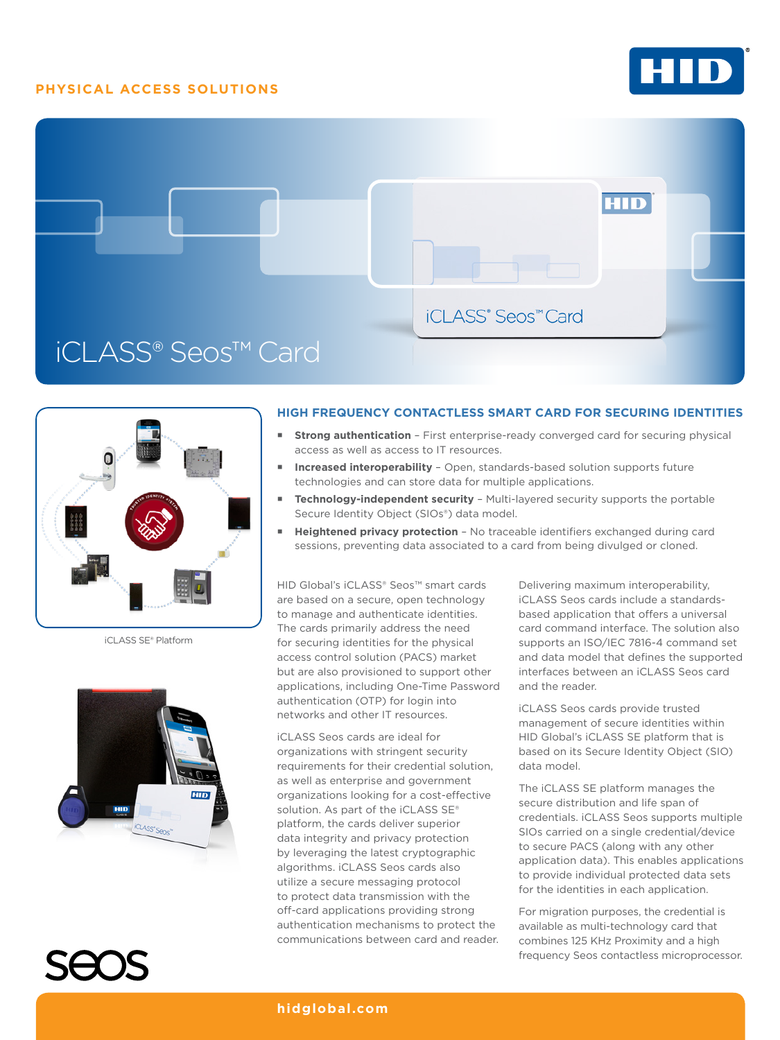## **PHYSICAL ACCESS SOLUTIONS**







iCLASS SE® Platform





## **HIGH FREQUENCY CONTACTLESS SMART CARD FOR SECURING IDENTITIES**

- **Strong authentication** First enterprise-ready converged card for securing physical access as well as access to IT resources.
- **Increased interoperability** Open, standards-based solution supports future technologies and can store data for multiple applications.
- **Technology-independent security** Multi-layered security supports the portable Secure Identity Object (SIOs®) data model.
- **Heightened privacy protection** No traceable identifiers exchanged during card sessions, preventing data associated to a card from being divulged or cloned.

HID Global's iCLASS® Seos™ smart cards are based on a secure, open technology to manage and authenticate identities. The cards primarily address the need for securing identities for the physical access control solution (PACS) market but are also provisioned to support other applications, including One-Time Password authentication (OTP) for login into networks and other IT resources.

iCLASS Seos cards are ideal for organizations with stringent security requirements for their credential solution, as well as enterprise and government organizations looking for a cost-effective solution. As part of the iCLASS SE® platform, the cards deliver superior data integrity and privacy protection by leveraging the latest cryptographic algorithms. iCLASS Seos cards also utilize a secure messaging protocol to protect data transmission with the off-card applications providing strong authentication mechanisms to protect the communications between card and reader. Delivering maximum interoperability, iCLASS Seos cards include a standardsbased application that offers a universal card command interface. The solution also supports an ISO/IEC 7816-4 command set and data model that defines the supported interfaces between an iCLASS Seos card and the reader.

iCLASS Seos cards provide trusted management of secure identities within HID Global's iCLASS SE platform that is based on its Secure Identity Object (SIO) data model.

The iCLASS SE platform manages the secure distribution and life span of credentials. iCLASS Seos supports multiple SIOs carried on a single credential/device to secure PACS (along with any other application data). This enables applications to provide individual protected data sets for the identities in each application.

For migration purposes, the credential is available as multi-technology card that combines 125 KHz Proximity and a high frequency Seos contactless microprocessor.

**hidglobal.com**